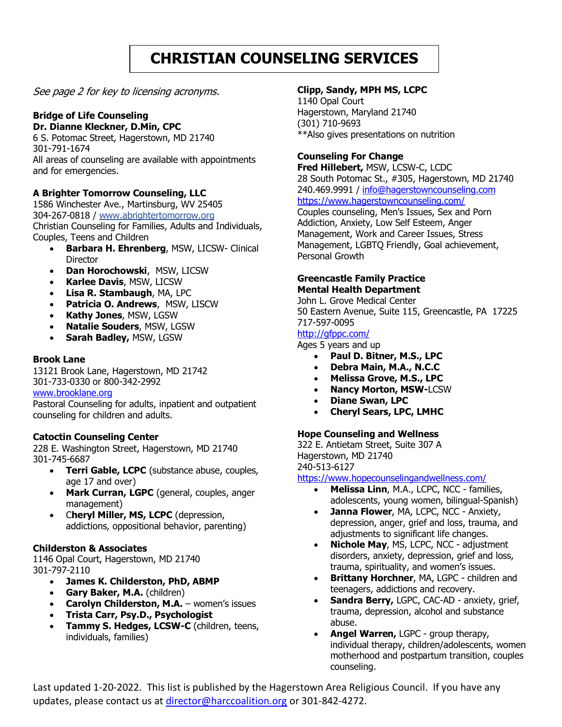# **CHRISTIAN COUNSELING SERVICES**

See page 2 for key to licensing acronyms.

## **Bridge of Life Counseling**

#### **Dr. Dianne Kleckner, D.Min, CPC**

6 S. Potomac Street, Hagerstown, MD 21740 301-791-1674 All areas of counseling are available with appointments and for emergencies.

## **A Brighter Tomorrow Counseling, LLC**

1586 Winchester Ave., Martinsburg, WV 25405 304-267-0818 / [www.abrightertomorrow.org](http://www.abrightertomorrow.org/) Christian Counseling for Families, Adults and Individuals, Couples, Teens and Children

- **Barbara H. Ehrenberg**, MSW, LICSW- Clinical Director
- **Dan Horochowski**, MSW, LICSW
- **Karlee Davis**, MSW, LICSW
- **Lisa R. Stambaugh**, MA, LPC
- **Patricia O. Andrews**, MSW, LISCW
- **Kathy Jones**, MSW, LGSW
- **Natalie Souders**, MSW, LGSW
- **Sarah Badley,** MSW, LGSW

#### **Brook Lane**

13121 Brook Lane, Hagerstown, MD 21742 301-733-0330 or 800-342-2992

## [www.brooklane.org](http://www.brooklane.org/)

Pastoral Counseling for adults, inpatient and outpatient counseling for children and adults.

## **Catoctin Counseling Center**

228 E. Washington Street, Hagerstown, MD 21740 301-745-6687

- **Terri Gable, LCPC** (substance abuse, couples, age 17 and over)
- **Mark Curran, LGPC** (general, couples, anger management)
- C**heryl Miller, MS, LCPC** (depression, addictions, oppositional behavior, parenting)

## **Childerston & Associates**

1146 Opal Court, Hagerstown, MD 21740 301-797-2110

- **James K. Childerston, PhD, ABMP**
- **Gary Baker, M.A.** (children)
- **Carolyn Childerston, M.A.** women's issues
- **Trista Carr, Psy.D., Psychologist**
- **Tammy S. Hedges, LCSW-C** (children, teens, individuals, families)

## **Clipp, Sandy, MPH MS, LCPC**

1140 Opal Court Hagerstown, Maryland 21740 [\(301\) 710-9693](tel:3017109693) \*\*Also gives presentations on nutrition

## **Counseling For Change**

**Fred Hillebert,** MSW, LCSW-C, LCDC 28 South Potomac St., #305, Hagerstown, MD 21740 240.469.9991 [/ info@hagerstowncounseling.com](mailto:info@hagerstowncounseling.com) <https://www.hagerstowncounseling.com/>

Couples counseling, Men's Issues, Sex and Porn Addiction, Anxiety, Low Self Esteem, Anger Management, Work and Career Issues, Stress Management, LGBTQ Friendly, Goal achievement, Personal Growth

#### **Greencastle Family Practice Mental Health Department**

John L. Grove Medical Center 50 Eastern Avenue, Suite 115, Greencastle, PA 17225 717-597-0095

## <http://gfppc.com/>

Ages 5 years and up

- **Paul D. Bitner, M.S., LPC**
- **Debra Main, M.A., N.C.C**
- **Melissa Grove, M.S., LPC**
- **Nancy Morton, MSW-**LCSW
- **Diane Swan, LPC**
- **Cheryl Sears, LPC, LMHC**

## **Hope Counseling and Wellness**

322 E. Antietam Street, Suite 307 A Hagerstown, MD 21740 240-513-6127

<https://www.hopecounselingandwellness.com/>

- **Melissa Linn**, M.A., LCPC, NCC families, adolescents, young women, bilingual-Spanish)
- **Janna Flower**, MA, LCPC, NCC Anxiety, depression, anger, grief and loss, trauma, and adjustments to significant life changes.
- **Nichole May**, MS, LCPC, NCC adjustment disorders, anxiety, depression, grief and loss, trauma, spirituality, and women's issues.
- **Brittany Horchner**, MA, LGPC children and teenagers, addictions and recovery.
- **Sandra Berry,** LGPC, CAC-AD anxiety, grief, trauma, depression, alcohol and substance abuse.
- **Angel Warren,** LGPC group therapy, individual therapy, children/adolescents, women motherhood and postpartum transition, couples counseling.

Last updated 1-20-2022. This list is published by the Hagerstown Area Religious Council. If you have any updates, please contact us at [director@harccoalition.org](mailto:director@harccoalition.org) or 301-842-4272.